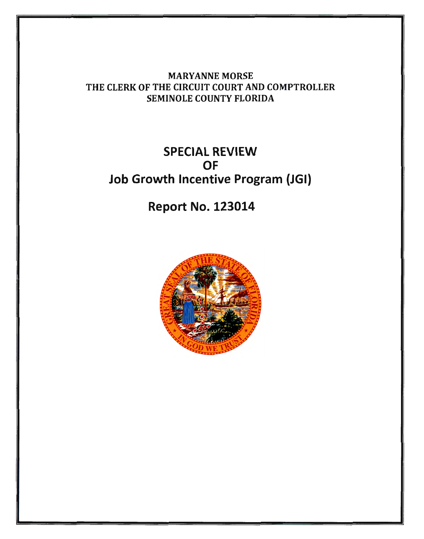MARYANNE MORSE THE CLERK OF THE CIRCUIT COURT AND COMPTROLLER SEMINOLE COUNTY FLORIDA

## SPECIAL REVIEW OF Job Growth Incentive Program (JGI)

Report No. 123014

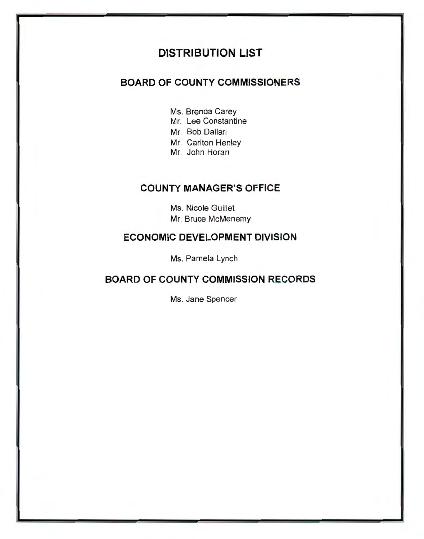### DISTRIBUTION LIST

### BOARD OF COUNTY COMMISSIONERS

- Ms. Brenda Carey
- Mr. Lee Constantine
- Mr. Bob Dallari
- Mr. Carlton Henley
- Mr. John Horan

### COUNTY MANAGER'S OFFICE

Ms. Nicole Guillet Mr. Bruce McMenemy

### ECONOMIC DEVELOPMENT DIVISION

Ms. Pamela Lynch

### BOARD OF COUNTY COMMISSION RECORDS

Ms. Jane Spencer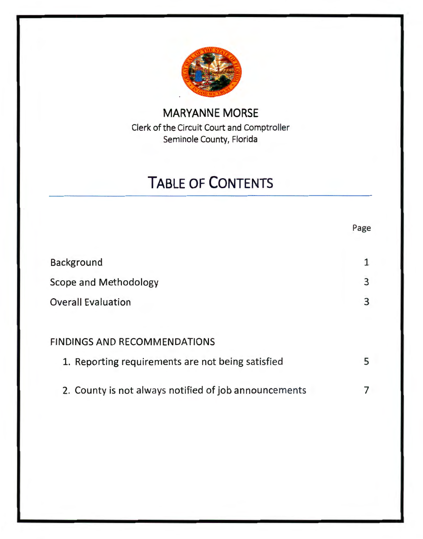

### **MARYANNE MORSE**  Clerk of the Circuit Court and Comptroller Seminole County, Florida

# **TABLE OF CONTENTS**

Page

|                                                       | .45 <sub>2</sub> |
|-------------------------------------------------------|------------------|
| <b>Background</b>                                     |                  |
| <b>Scope and Methodology</b>                          | 3                |
| <b>Overall Evaluation</b>                             | 3                |
|                                                       |                  |
| <b>FINDINGS AND RECOMMENDATIONS</b>                   |                  |
| 1. Reporting requirements are not being satisfied     | 5                |
| 2. County is not always notified of job announcements |                  |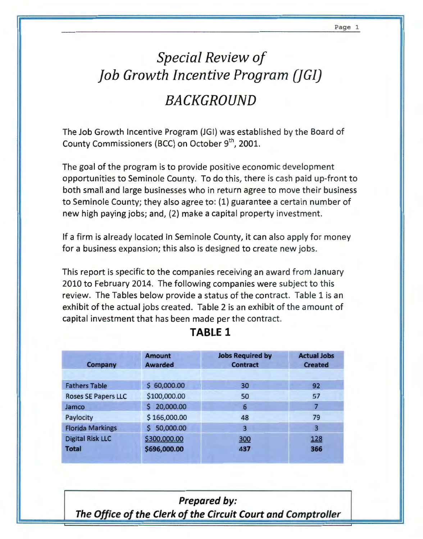# *Special Review of job Growth Incentive Program (]GI) BACKGROUND*

The Job Growth Incentive Program (JGI) was established by the Board of County Commissioners (BCC) on October 9<sup>th</sup>, 2001.

The goal of the program is to provide positive economic development opportunities to Seminole County. To do this, there is cash paid up-front to both small and large businesses who in return agree to move their business to Seminole County; they also agree to: (1) guarantee a certain number of new high paying jobs; and, (2) make a capital property investment.

If a firm is already located in Seminole County, it can also apply for money for a business expansion; this also is designed to create new jobs.

This report is specific to the companies receiving an award from January 2010 to February 2014. The following companies were subject to this review. The Tables below provide a status of the contract. Table 1 is an exhibit of the actual jobs created. Table 2 is an exhibit of the amount of capital investment that has been made per the contract.

| <b>Company</b>             | <b>Amount</b><br><b>Awarded</b> | <b>Jobs Required by</b><br><b>Contract</b> | <b>Actual Jobs</b><br><b>Created</b> |
|----------------------------|---------------------------------|--------------------------------------------|--------------------------------------|
|                            |                                 |                                            |                                      |
| <b>Fathers Table</b>       | \$60,000.00                     | 30                                         | 92                                   |
| <b>Roses SE Papers LLC</b> | \$100,000.00                    | 50                                         | 57                                   |
| Jamco                      | \$20,000.00                     | 6                                          |                                      |
| Paylocity                  | \$166,000.00                    | 48                                         | 79                                   |
| <b>Florida Markings</b>    | 50,000.00<br>S.                 | 3                                          | 3                                    |
| <b>Digital Risk LLC</b>    | \$300,000.00                    | 300                                        | 128                                  |
| <b>Total</b>               | \$696,000.00                    | 437                                        | 366                                  |

### **TABLE 1**

### Prepared by:

The Office of the Clerk of the Circuit Court and Comptroller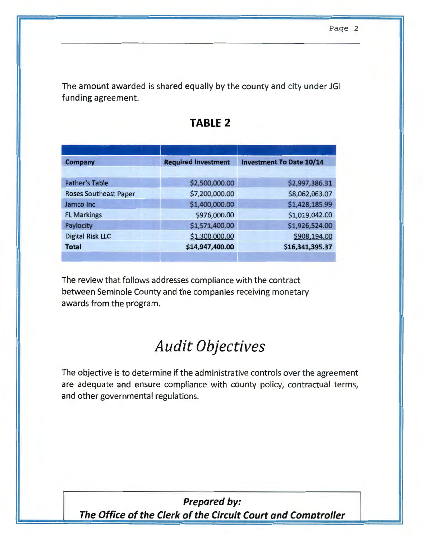The amount awarded is shared equally by the county and city under JGI funding agreement.

| Company                      | <b>Required Investment</b> | <b>Investment To Date 10/14</b> |  |
|------------------------------|----------------------------|---------------------------------|--|
|                              |                            |                                 |  |
| <b>Father's Table</b>        | \$2,500,000.00             | \$2,997,386.31                  |  |
| <b>Roses Southeast Paper</b> | \$7,200,000.00             | \$8,062,063.07                  |  |
| Jamco Inc                    | \$1,400,000.00             | \$1,428,185.99                  |  |
| <b>FL Markings</b>           | \$976,000.00               | \$1,019,042.00                  |  |
| Paylocity                    | \$1,571,400.00             | \$1,926,524.00                  |  |
| <b>Digital Risk LLC</b>      | \$1,300,000.00             | \$908,194.00                    |  |
| <b>Total</b>                 | \$14,947,400.00            | \$16,341,395.37                 |  |
|                              |                            |                                 |  |

### **TABLE 2**

The review that follows addresses compliance with the contract between Seminole County and the companies receiving monetary awards from the program.

## *Audit Objectives*

The objective is to determine if the administrative controls over the agreement are adequate and ensure compliance with county policy, contractual terms, and other governmental regulations.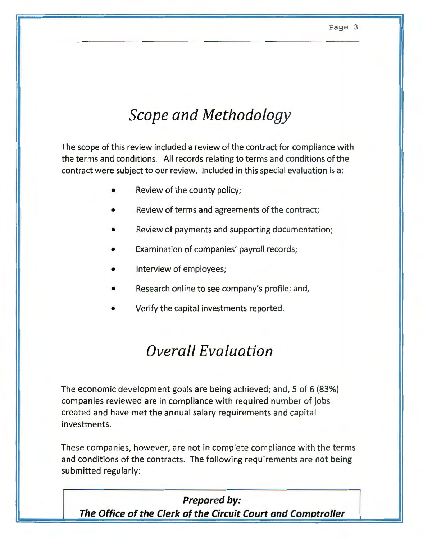# *Scope and Methodology*

The scope of this review included a review of the contract for compliance with the terms and conditions. All records relating to terms and conditions of the contract were subject to our review. Included in this special evaluation is a:

- Review of the county policy;
- Review of terms and agreements of the contract;
- Review of payments and supporting documentation;
- Examination of companies' payroll records;
- Interview of employees;
- Research online to see company's profile; and,
- Verify the capital investments reported.

## *Overall Evaluation*

The economic development goals are being achieved; and, 5 of 6 {83%) companies reviewed are in compliance with required number of jobs created and have met the annual salary requirements and capital investments.

These companies, however, are not in complete compliance with the terms and conditions of the contracts. The following requirements are not being submitted regularly: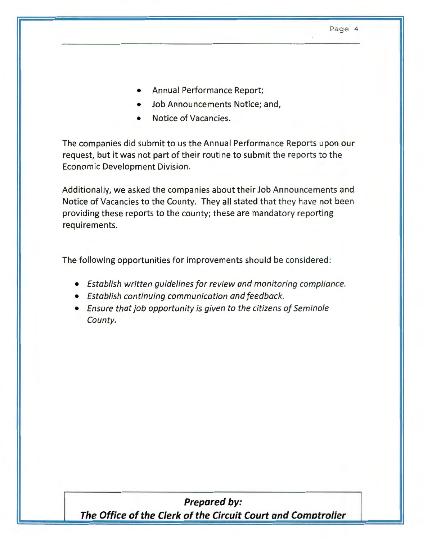- Annual Performance Report;
- Job Announcements Notice; and,
- Notice of Vacancies.

The companies did submit to us the Annual Performance Reports upon our request, but it was not part of their routine to submit the reports to the Economic Development Division.

Additionally, we asked the companies about their Job Announcements and Notice of Vacancies to the County. They all stated that they have not been providing these reports to the county; these are mandatory reporting requirements.

The following opportunities for improvements should be considered:

- *Establish written guidelines for review and monitoring compliance.*
- *Establish continuing communication and feedback.*
- *Ensure that job opportunity is given to the citizens of Seminole County.*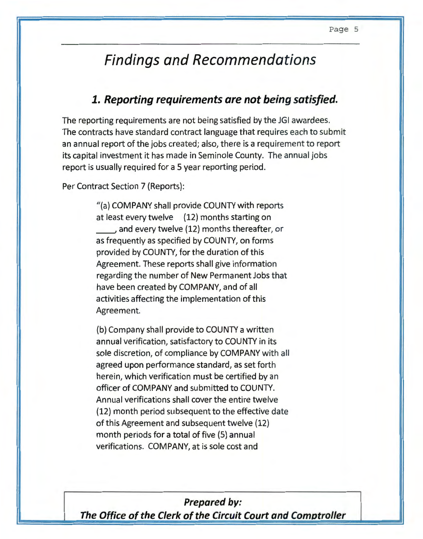## **Findings and Recommendations**

### **1. Reporting requirements are not being satisfied.**

The reporting requirements are not being satisfied by the JGI awardees. The contracts have standard contract language that requires each to submit an annual report of the jobs created; also, there is a requirement to report its capital investment it has made in Seminole County. The annual jobs report is usually required for a 5 year reporting period.

Per Contract Section 7 (Reports):

"(a) COMPANY shall provide COUNTY with reports at least every twelve (12) months starting on \_\_,and every twelve (12) months thereafter, or as frequently as specified by COUNTY, on forms provided by COUNTY, for the duration of this Agreement. These reports shall give information regarding the number of New Permanent Jobs that have been created by COMPANY, and of all activities affecting the implementation of this Agreement.

(b) Company shall provide to COUNTY a written annual verification, satisfactory to COUNTY in its sole discretion, of compliance by COMPANY with all agreed upon performance standard, as set forth herein, which verification must be certified by an officer of COMPANY and submitted to COUNTY. Annual verifications shall cover the entire twelve (12) month period subsequent to the effective date of this Agreement and subsequent twelve (12) month periods for a total of five (5) annual verifications. COMPANY, at is sole cost and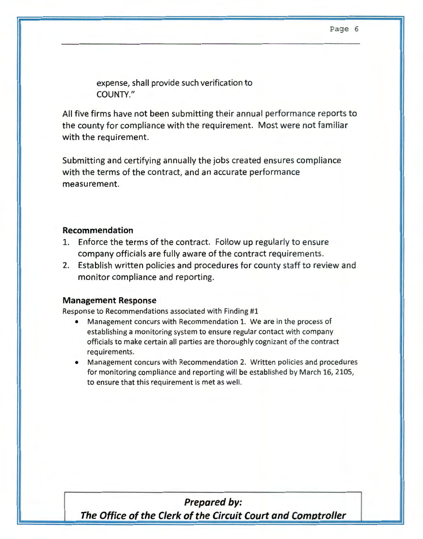expense, shall provide such verification to COUNTY."

All five firms have not been submitting their annual performance reports to the county for compliance with the requirement. Most were not familiar with the requirement.

Submitting and certifying annually the jobs created ensures compliance with the terms of the contract, and an accurate performance measurement.

#### **Recommendation**

- 1. Enforce the terms of the contract. Follow up regularly to ensure company officials are fully aware of the contract requirements.
- 2. Establish written policies and procedures for county staff to review and monitor compliance and reporting.

#### **Management Response**

Response to Recommendations associated with Finding #1

- Management concurs with Recommendation 1. We are in the process of establishing a monitoring system to ensure regular contact with company officials to make certain all parties are thoroughly cognizant of the contract requirements.
- Management concurs with Recommendation 2. Written policies and procedures for monitoring compliance and reporting will be established by March 16, 2105, to ensure that this requirement is met as well.

## **Prepared by:**